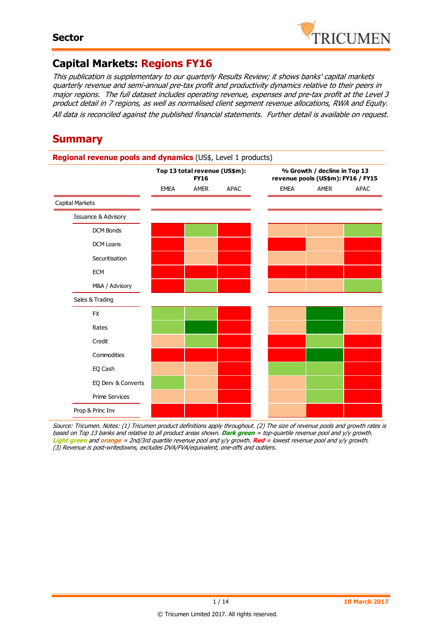-



## **Capital Markets: Regions FY16**

This publication is supplementary to our quarterly Results Review; it shows banks' capital markets quarterly revenue and semi-annual pre-tax profit and productivity dynamics relative to their peers in major regions. The full dataset includes operating revenue, expenses and pre-tax profit at the Level 3 product detail in 7 regions, as well as normalised client segment revenue allocations, RWA and Equity. All data is reconciled against the published financial statements. Further detail is available on request.

## **Summary**

### **Regional revenue pools and dynamics** (US\$, Level 1 products) EMEA AMER APAC EMEA AMER APAC Capital Markets Issuance & Advisory DCM Bonds DCM Loans Securitisation **ECM** M&A / Advisory Sales & Trading FX Rates Credit Commodities EQ Cash EQ Derv & Converts Prime Services Prop & Princ Inv **Top 13 total revenue (US\$m): FY16 % Growth / decline in Top 13 revenue pools (US\$m): FY16 / FY15**

Source: Tricumen. Notes: (1) Tricumen product definitions apply throughout. (2) The size of revenue pools and growth rates is based on Top 13 banks and relative to all product areas shown. **Dark green** = top-quartile revenue pool and y/y growth. **Light green** and **orange** = 2nd/3rd quartile revenue pool and y/y growth. **Red** = lowest revenue pool and y/y growth. (3) Revenue is post-writedowns, excludes DVA/FVA/equivalent, one-offs and outliers.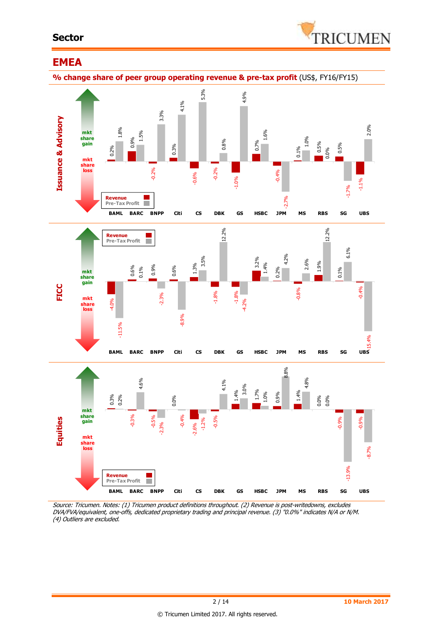#### **Sector**



### **EMEA**

**% change share of peer group operating revenue & pre-tax profit** (US\$, FY16/FY15)



Source: Tricumen. Notes: (1) Tricumen product definitions throughout. (2) Revenue is post-writedowns, excludes DVA/FVA/equivalent, one-offs, dedicated proprietary trading and principal revenue. (3) "0.0%" indicates N/A or N/M.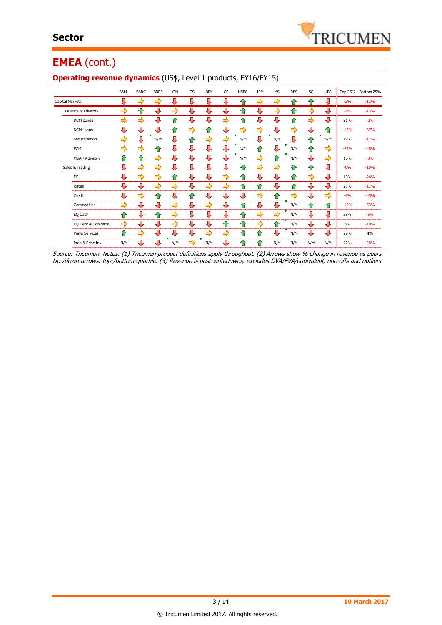

## **EMEA** (cont.)

|                                | <b>BAML</b> | <b>BARC</b> | <b>BNPP</b> | Citi | <b>CS</b> | <b>DBK</b> | GS            | <b>HSBC</b> | <b>JPM</b>         | <b>MS</b> | <b>RBS</b> | SG  | <b>UBS</b> | <b>Top 25%</b> | Bottom 25% |
|--------------------------------|-------------|-------------|-------------|------|-----------|------------|---------------|-------------|--------------------|-----------|------------|-----|------------|----------------|------------|
| Capital Markets                | ⊕           | ⇨           | ⇨           | ⊕    | ⊕         | ⊕          | ⊕             | 10          | ⇨                  | ⇨         | ⇑          | ⇧   | ⇩          | $-2%$          | $-12%$     |
| <b>Issuance &amp; Advisory</b> | ⇨           | ⇑           | ⇩           | ⇨    | ⇩         | ⇩          | ⇩             | ⇑           | Д                  | ⇨         | ⇧          | ⇨   | ⇩          | $-2%$          | $-13%$     |
| <b>DCM Bonds</b>               | ⇨           | ⇨           | ⇩           | ⇑    | ⇩         | Л          | ⇨             | 企           | ⇩                  | ⇩         | ⇧          | ⇨   | ⊕          | 21%            | $-8%$      |
| <b>DCM Loans</b>               | ⇩           | ⊕           | ⇩           | ⇑    | ⇨         | ⇑          | ⊕             | ⇨           | ⇨                  | ⇩         | ⇨          | ⊕   | ⇑          | $-12%$         | $-37%$     |
| Securitisation                 | ⇨           | ⊕           | ×<br>N/M    | ⇩    | ⇑         | ⇨          | ⇨             | N/M         | Л                  | m,<br>N/M | ⇩          | 仆   | F<br>N/M   | 19%            | $-17%$     |
| ECM                            | ⇨           | ⇨           | ⇑           | ⊕    | ⇩         | ⇩          | ⊕             | N/M         | ⇧                  | ⊕         | N/M        | ⇧   | ⇨          | $-29%$         | $-48%$     |
| M&A / Advisory                 | ⇑           | ⇑           | ⇨           | ⊕    | ⊕         | ⊕          | ⇩             | N/M         | ⇨                  | ⇑         | N/M        | ⊕   | ⇨          | 18%            | $-3%$      |
| Sales & Trading                | ⇩           | ⇨           | ⇨           | ⊕    | ⊕         | ⊕          | ⊕             | ⇑           | ⇨                  | ⇨         | ⇑          | ⇧   | ⇩          | $-0%$          | $-10%$     |
| <b>FX</b>                      | ⊕           | ⇨           | ⇨           | ⇑    | ⇩         | ⇩          | ⇨             | ⇑           | ⇩                  | ⇩         | ⇑          | ⇨   | ⇩          | 10%            | $-24%$     |
| Rates                          | ⇩           | ⊕           | ⇨           | ⇨    | ⇩         | ⇨          | ⇨             | ⇑           | ⇑                  | ⊕         | ⇑          | ⇩   | <br>⊕      | 23%            | $-11%$     |
| Credit                         | ⇩           | ⇨           | 合           | ⊕    | ⇑         | ⇩          | ⊕             | ⇩           | ⇨                  | ⇧         | ⇨          | ⇩   | ⇨          | $-4%$          | $-45%$     |
| Commodities                    | ⇨           | ⊕           | ⊕           | ⇨    | ⇩         | ⇨          | ⊕             | ⇑           | ⊕                  | ⊕         | N/M        | ⇧   | ⇧          | $-15%$         | $-53%$     |
| EO Cash                        | ⇑           | ⊕           | ⇑           | ⇨    | ⇩         | ⇩          | ⇩             | ⇑           | ⇨                  | ⇨         | N/M        | ⇩   | ⊕          | 38%            | $-5%$      |
| EQ Derv & Converts             | ⇨           | ⊕           | ⊕           | ⇨    | ⊕         | ⊕          | ⇑             | ⇑           | ⇨                  | ⇑         | N/M        | ⊕   | ⇩          | 6%             | $-10%$     |
| <b>Prime Services</b>          | ⇑           | ⇨           | ⊕           | ⊕    | ⇩         | ⇨          | $\Rightarrow$ | ⇑           | 仐                  | ⊕         | N/M        | ⊕   | ⊕          | 29%            | 4%         |
| Prop & Princ Inv               | N/M         | ⊕           | л           | N/M  | ⇨         | N/M        | ⇩             | 1.          | $\hat{\mathbf{r}}$ | N/M       | N/M        | N/M | N/M        | 22%            | $-20%$     |

#### **Operating revenue dynamics** (US\$, Level 1 products, FY16/FY15)

Source: Tricumen. Notes: (1) Tricumen product definitions apply throughout. (2) Arrows show % change in revenue vs peers. Up-/down-arrows: top-/bottom-quartile. (3) Revenue is post-writedowns, excludes DVA/FVA/equivalent, one-offs and outliers.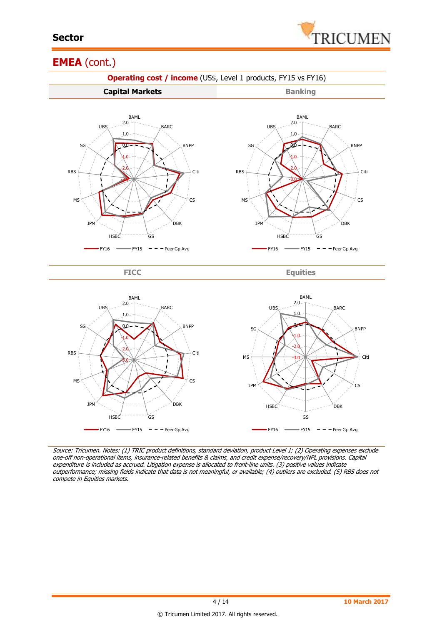

## **EMEA** (cont.)



Source: Tricumen. Notes: (1) TRIC product definitions, standard deviation, product Level 1; (2) Operating expenses exclude one-off non-operational items, insurance-related benefits & claims, and credit expense/recovery/NPL provisions. Capital expenditure is included as accrued. Litigation expense is allocated to front-line units. (3) positive values indicate outperformance; missing fields indicate that data is not meaningful, or available; (4) outliers are excluded. (5) RBS does not compete in Equities markets.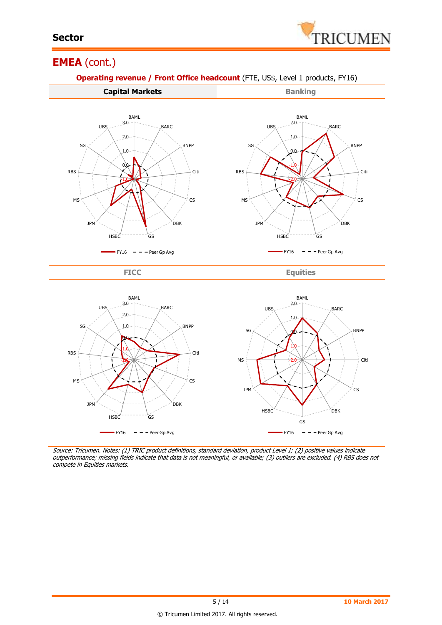

### **EMEA** (cont.)



Source: Tricumen. Notes: (1) TRIC product definitions, standard deviation, product Level 1; (2) positive values indicate outperformance; missing fields indicate that data is not meaningful, or available; (3) outliers are excluded. (4) RBS does not compete in Equities markets.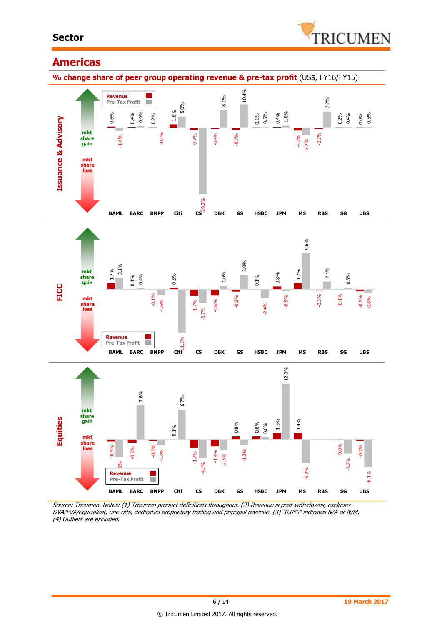#### **Sector**



## **Americas**

**% change share of peer group operating revenue & pre-tax profit** (US\$, FY16/FY15)



Source: Tricumen. Notes: (1) Tricumen product definitions throughout. (2) Revenue is post-writedowns, excludes DVA/FVA/equivalent, one-offs, dedicated proprietary trading and principal revenue. (3) "0.0%" indicates N/A or N/M.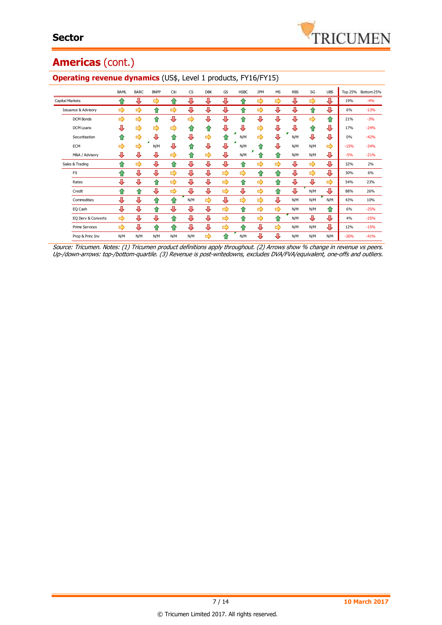# **Americas** (cont.)

|                                | <b>BAML</b> | <b>BARC</b> | <b>BNPP</b> | Citi | <b>CS</b>  | <b>DBK</b> | GS | <b>HSBC</b> | <b>JPM</b> | <b>MS</b> | <b>RBS</b> | SG  | <b>UBS</b> |        | Top 25% Bottom 25% |
|--------------------------------|-------------|-------------|-------------|------|------------|------------|----|-------------|------------|-----------|------------|-----|------------|--------|--------------------|
| Capital Markets                | ⇑           | ⊕           | ⇨           | ⇑    | ⊕          | ⊕          | ⊕  | ങ           | ⇨          | ⇨         | ⊕          | ⇨   | ⊕          | 19%    | $-4%$              |
| <b>Issuance &amp; Advisory</b> | ⇨           | ⇨           | ⇑           | ⇨    | ⊕          | ⊕          | ⊕  |             | ⇨          | ⊕         | ⊕          | ⇑   | ⊕          | 6%     | $-13%$             |
| <b>DCM Bonds</b>               | ⇨           | ⇨           | ⇑           | J,   | ⇨          | 毋          | ⊕  | ≏           | ⊕          | Д         | ⊕          | ⇨   | ⇑          | 21%    | $-3%$              |
| <b>DCM Loans</b>               | ⊕           | ⇨           | ⇨           | ⇨    | ⇑          | ⇑          | ⊕  | л           | ⇨          | ⊕         | ⊕          | ⇧   | ⊕          | 17%    | $-24%$             |
| Securitisation                 | ⇑           | ⇨           | ⊕           | ⇑    | Д          | ⇨          | ⇑  | N/M         | ⇨          | ⊕         | N/M        | ⊕   | ⊕          | 0%     | $-42%$             |
| <b>ECM</b>                     | ⇨           | ⇨           | N/M         | ⊕    | $\bigcirc$ | J,         | л  | N/M         | ≏          | 几         | N/M        | N/M | ⇨          | $-15%$ | $-34%$             |
| M&A / Advisory                 | ⊕           | ⊕           | ⊕           | ⇨    | ⇑          | ⇨          | ⊕  | N/M         |            | ⇑         | N/M        | N/M | ⊕          | $-5%$  | $-21%$             |
| Sales & Trading                | ♠           | ⇨           | ⊕           | ⇑    | Л          | ⊕          | ⊕  | ⇑           | ⇨          | ⇨         | ⊕          | ⇨   | ⊕          | 32%    | 2%                 |
| <b>FX</b>                      | ⇑           | ⊕           | ⇩           | ⇨    | ⊕          | ⊕          | ⇨  | ⇨           | ⇑          | ⇑         | ⇩          | ⇨   | ⊕          | 30%    | 6%                 |
| Rates                          | ⊕           | ⊕           | 企           | ⇨    | ⊕          | ⊕          | ⇨  | ⇑           | ⇨          | 企         | ⊕          | ⊕   | ⇨          | 54%    | 23%                |
| Credit                         | ⇑           | ≏           | ⊕           | ⇨    | ⊕          | ⊕          | ⇨  | ⊕           | ⇨          | ⇑         | ⊕          | N/M | ⊕          | 88%    | 26%                |
| Commodities                    | ⊕           | ⊕           | ⇑           | ⇑    | N/M        | ⇨          | ⊕  | ⇨           | ⇨          | ⊕         | N/M        | N/M | N/M        | 43%    | 10%                |
| EQ Cash                        | л           | ⊕           | ⇑           | ⊕    | ⊕          | ⊕          | ⇨  | ♠           | ⇨          | ⇨         | N/M        | N/M | ⇑          | 6%     | $-25%$             |
| EQ Derv & Converts             | ⇨           | ⊕           | ⊕           | ⇑    | ⊕          | ⊕          | ⇨  | ⇑           | ⇨          | ⇑         | N/M        | ⊕   | ⊕          | 4%     | $-25%$             |
| <b>Prime Services</b>          | ⇨           | ⊕           | ⇑           | ⇑    | ⊕          | ⊕          | ⇛  | ≏           | ⊕          | ⇨         | N/M        | N/M | ⊕          | 12%    | $-15%$             |
| Prop & Princ Inv               | N/M         | N/M         | N/M         | N/M  | N/M        | ⇨          |    | N/M         | Д          | ⊕         | N/M        | N/M | N/M        | $-26%$ | $-41%$             |

#### **Operating revenue dynamics** (US\$, Level 1 products, FY16/FY15)

Source: Tricumen. Notes: (1) Tricumen product definitions apply throughout. (2) Arrows show % change in revenue vs peers. Up-/down-arrows: top-/bottom-quartile. (3) Revenue is post-writedowns, excludes DVA/FVA/equivalent, one-offs and outliers.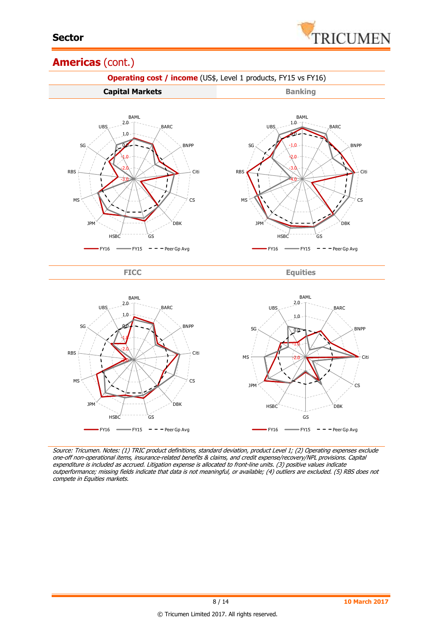

## **Americas** (cont.)



Source: Tricumen. Notes: (1) TRIC product definitions, standard deviation, product Level 1; (2) Operating expenses exclude one-off non-operational items, insurance-related benefits & claims, and credit expense/recovery/NPL provisions. Capital expenditure is included as accrued. Litigation expense is allocated to front-line units. (3) positive values indicate outperformance; missing fields indicate that data is not meaningful, or available; (4) outliers are excluded. (5) RBS does not compete in Equities markets.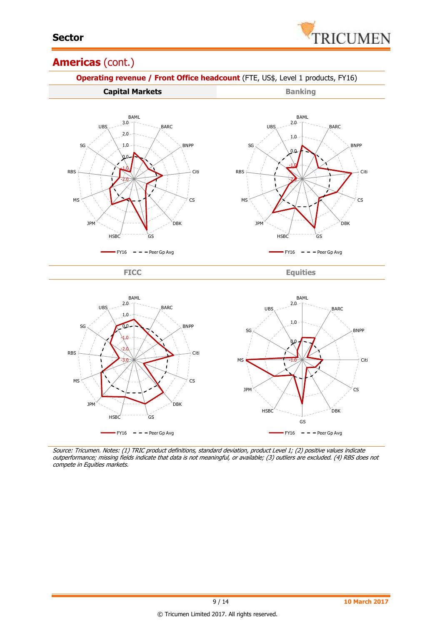

## **Americas** (cont.)



Source: Tricumen. Notes: (1) TRIC product definitions, standard deviation, product Level 1; (2) positive values indicate outperformance; missing fields indicate that data is not meaningful, or available; (3) outliers are excluded. (4) RBS does not compete in Equities markets.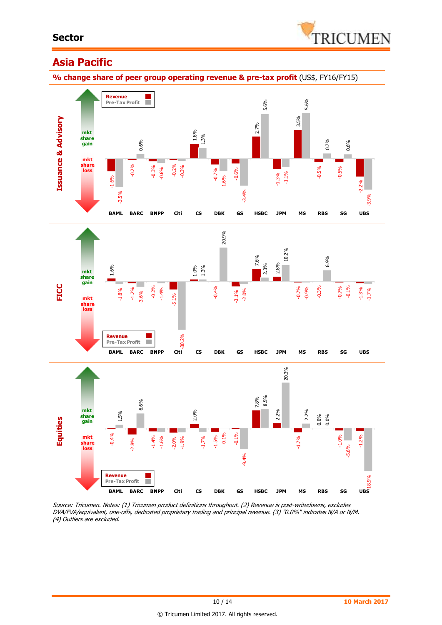

## **Asia Pacific**

**% change share of peer group operating revenue & pre-tax profit** (US\$, FY16/FY15)



Source: Tricumen. Notes: (1) Tricumen product definitions throughout. (2) Revenue is post-writedowns, excludes DVA/FVA/equivalent, one-offs, dedicated proprietary trading and principal revenue. (3) "0.0%" indicates N/A or N/M.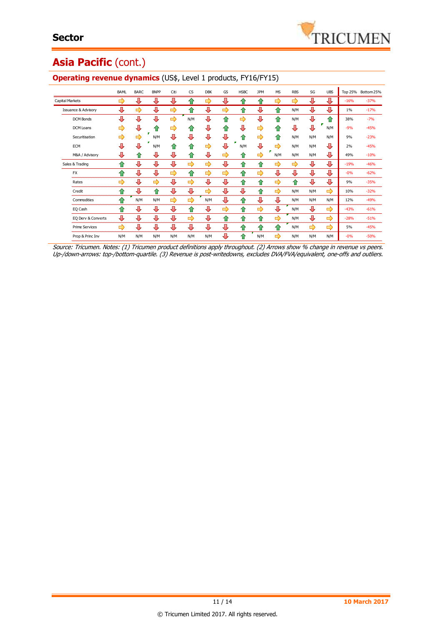# Asia Pacific (cont.)

|                                | BAML | <b>BARC</b> | <b>BNPP</b> | Citi          | <b>CS</b> | <b>DBK</b>    | GS | <b>HSBC</b> | <b>JPM</b>         | <b>MS</b>     | <b>RBS</b> | SG  | <b>UBS</b> | <b>Top 25%</b> | Bottom 25% |
|--------------------------------|------|-------------|-------------|---------------|-----------|---------------|----|-------------|--------------------|---------------|------------|-----|------------|----------------|------------|
| <b>Capital Markets</b>         | ⇨    | ⊕           | ⊕           | ⊕             | ⇑         | ⇨             | ⊕  | 仆           | $\hat{P}$          | ⇨             | ⇨          | ⊕   | ⊕          | $-16%$         | $-37%$     |
| <b>Issuance &amp; Advisory</b> | ⊕    | ⇨           | ⊕           | ⇨             | ⇑         | ⊕             | ⇨  | 企           | ⊕                  | ⇑             | N/M        | ⊕   | ⊕          | $1\%$          | $-17%$     |
| <b>DCM Bonds</b>               | ⊕    | ⊕           | ⊕           | ⇨             | N/M       | ⊕             | ⇑  | ⇨           | ⊕                  | 企             | N/M        | ⊕   | ⇧          | 38%            | $-7%$      |
| DCM Loans                      | ⇨    | ⊕           | ⇑           | ⇨             | ⇑         | ⊕             | ⇑  | л           | ⇨                  | ⇑             | ⊕          | ⊕   | N/M        | $-9%$          | $-45%$     |
| Securitisation                 | ⇨    | ⇨           | N/M         | J,            | ⊕         | ⊕             | ⊕  | ⇑           | ⇨                  | ⇑             | N/M        | N/M | N/M        | 9%             | $-23%$     |
| <b>ECM</b>                     | ⊕    | л           | N/M         | ⇑             | ⇑         | $\Rightarrow$ | ⊕  | N/M         | ⊕                  | ⇨             | N/M        | N/M | ⊕          | 2%             | $-45%$     |
| M&A / Advisory                 | ⊕    | ⇑           | ⊕           | ⊕             | 仆         | ⊕             | ⇨  | ⇑           | ⇨                  | N/M           | N/M        | N/M | ⊕          | 49%            | $-10%$     |
| Sales & Trading                | ⇑    | ⇩           | ⊕           | ⊕             | ⇨         | ⇨             | ⊕  | ⇑           | $\hat{\mathbf{r}}$ | ⇨             | ⇨          | ⊕   | ⊕          | $-19%$         | $-46%$     |
| <b>FX</b>                      | ⇑    | ⊕           | ⊕           | ⇨             | $\bullet$ | ⇨             | ⇨  | ⇑           | ⇨                  | ⊕             | ⊕          | ⊕   | ⊕          | $-0%$          | $-62%$     |
| Rates                          | ⇨    | ⊕           | ⇨           | ⊕             | ⇨         | ⊕             | ⊕  | ⇑           | ⇑                  | ⇨             | ⇑          | ⊕   | ⊕          | 9%             | $-35%$     |
| Credit                         | ⇑    | ⊕           | ⇑           | ⊕             | ⊕         | ⇨             | ⊕  | ⊕           | ♠                  | ⇨             | N/M        | N/M | ⇨          | 10%            | $-32%$     |
| Commodities                    | ≏    | N/M         | N/M         | $\Rightarrow$ | ⇨         | N/M           | ⊕  | ⇑           | ⊕                  | ⊕             | N/M        | N/M | N/M        | 12%            | $-49%$     |
| EQ Cash                        | ⇑    | ⊕           | ⊕           | ⊕             | ⇧         | ⊕             | ⇨  | ⇑           | ⇨                  | ⊕             | N/M        | ⊕   | ⇨          | $-43%$         | $-61%$     |
| EQ Derv & Converts             | ⊕    | ⊕           | ⊕           | ⊕             | ⇨         | ⊕             | ⇑  | ⇑           | ⇑                  | ⇨             | N/M        | ⊕   | ⇨          | $-28%$         | $-51%$     |
| <b>Prime Services</b>          | ⇨    | ⊕           | ⊕           | ⊕             | ⊕         | ⊕             | ⊕  | ⇑           | ≏                  | ⇑             | N/M        | ⇨   | ⇨          | 5%             | $-45%$     |
| Prop & Princ Inv               | N/M  | N/M         | N/M         | N/M           | N/M       | N/M           | ⊕  | $\bigcirc$  | N/M                | $\Rightarrow$ | N/M        | N/M | N/M        | $-0%$          | $-50%$     |
|                                |      |             |             |               |           |               |    |             |                    |               |            |     |            |                |            |

#### **Operating revenue dynamics** (US\$, Level 1 products, FY16/FY15)

Source: Tricumen. Notes: (1) Tricumen product definitions apply throughout. (2) Arrows show % change in revenue vs peers. Up-/down-arrows: top-/bottom-quartile. (3) Revenue is post-writedowns, excludes DVA/FVA/equivalent, one-offs and outliers.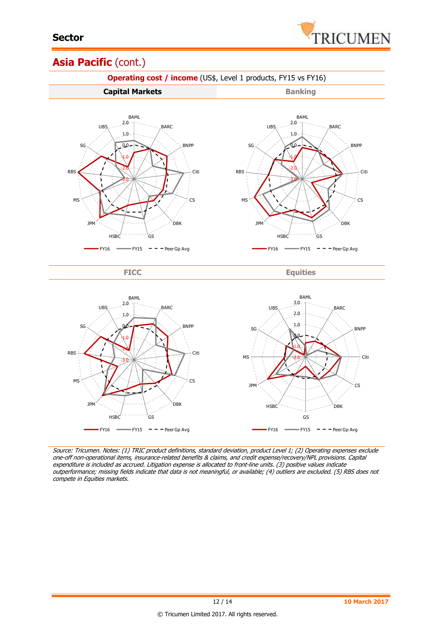

## Asia Pacific (cont.)



Source: Tricumen. Notes: (1) TRIC product definitions, standard deviation, product Level 1; (2) Operating expenses exclude one-off non-operational items, insurance-related benefits & claims, and credit expense/recovery/NPL provisions. Capital expenditure is included as accrued. Litigation expense is allocated to front-line units. (3) positive values indicate outperformance; missing fields indicate that data is not meaningful, or available; (4) outliers are excluded. (5) RBS does not compete in Equities markets.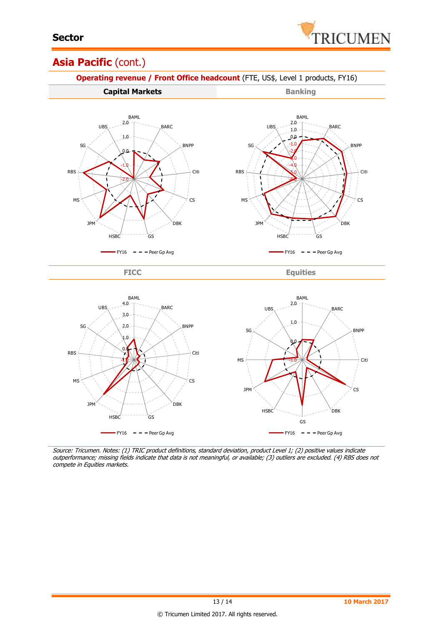

## Asia Pacific (cont.)



Source: Tricumen. Notes: (1) TRIC product definitions, standard deviation, product Level 1; (2) positive values indicate outperformance; missing fields indicate that data is not meaningful, or available; (3) outliers are excluded. (4) RBS does not compete in Equities markets.